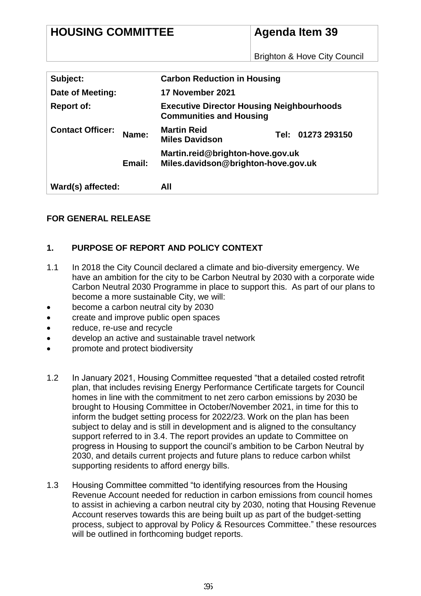# **Agenda Item 39**

Brighton & Hove City Council

| Subject:                |        | <b>Carbon Reduction in Housing</b>                                                 |                   |
|-------------------------|--------|------------------------------------------------------------------------------------|-------------------|
| Date of Meeting:        |        | 17 November 2021                                                                   |                   |
| <b>Report of:</b>       |        | <b>Executive Director Housing Neighbourhoods</b><br><b>Communities and Housing</b> |                   |
| <b>Contact Officer:</b> | Name:  | <b>Martin Reid</b><br><b>Miles Davidson</b>                                        | Tel: 01273 293150 |
|                         | Email: | Martin.reid@brighton-hove.gov.uk<br>Miles.davidson@brighton-hove.gov.uk            |                   |
| Ward(s) affected:       |        | All                                                                                |                   |

# **FOR GENERAL RELEASE**

# **1. PURPOSE OF REPORT AND POLICY CONTEXT**

- 1.1 In 2018 the City Council declared a climate and bio-diversity emergency. We have an ambition for the city to be Carbon Neutral by 2030 with a corporate wide Carbon Neutral 2030 Programme in place to support this. As part of our plans to become a more sustainable City, we will:
- **become a carbon neutral city by 2030**
- create and improve public open spaces
- reduce, re-use and recycle
- develop an active and sustainable travel network
- promote and protect biodiversity
- 1.2 In January 2021, Housing Committee requested "that a detailed costed retrofit plan, that includes revising Energy Performance Certificate targets for Council homes in line with the commitment to net zero carbon emissions by 2030 be brought to Housing Committee in October/November 2021, in time for this to inform the budget setting process for 2022/23. Work on the plan has been subject to delay and is still in development and is aligned to the consultancy support referred to in 3.4. The report provides an update to Committee on progress in Housing to support the council's ambition to be Carbon Neutral by 2030, and details current projects and future plans to reduce carbon whilst supporting residents to afford energy bills.
- 1.3 Housing Committee committed "to identifying resources from the Housing Revenue Account needed for reduction in carbon emissions from council homes to assist in achieving a carbon neutral city by 2030, noting that Housing Revenue Account reserves towards this are being built up as part of the budget-setting process, subject to approval by Policy & Resources Committee." these resources will be outlined in forthcoming budget reports.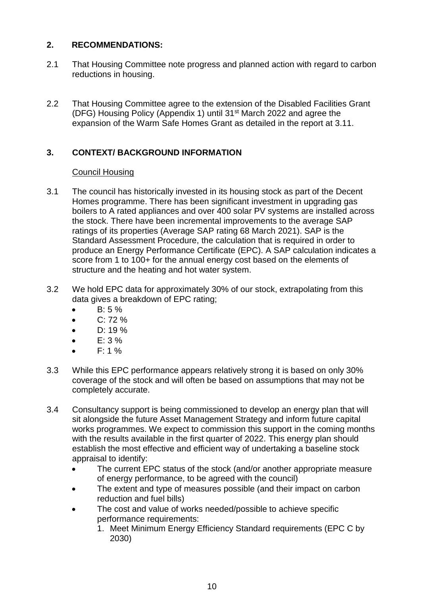# **2. RECOMMENDATIONS:**

- 2.1 That Housing Committee note progress and planned action with regard to carbon reductions in housing.
- 2.2 That Housing Committee agree to the extension of the Disabled Facilities Grant (DFG) Housing Policy (Appendix 1) until 31st March 2022 and agree the expansion of the Warm Safe Homes Grant as detailed in the report at 3.11.

# **3. CONTEXT/ BACKGROUND INFORMATION**

# Council Housing

- 3.1 The council has historically invested in its housing stock as part of the Decent Homes programme. There has been significant investment in upgrading gas boilers to A rated appliances and over 400 solar PV systems are installed across the stock. There have been incremental improvements to the average SAP ratings of its properties (Average SAP rating 68 March 2021). SAP is the Standard Assessment Procedure, the calculation that is required in order to produce an Energy Performance Certificate (EPC). A SAP calculation indicates a score from 1 to 100+ for the annual energy cost based on the elements of structure and the heating and hot water system.
- 3.2 We hold EPC data for approximately 30% of our stock, extrapolating from this data gives a breakdown of EPC rating;
	- $-B: 5\%$
	- $\bullet$  C: 72 %
	- $\bullet$  D: 19 %
	- $\bullet$  E: 3 %
	- $\bullet$  F: 1 %
- 3.3 While this EPC performance appears relatively strong it is based on only 30% coverage of the stock and will often be based on assumptions that may not be completely accurate.
- 3.4 Consultancy support is being commissioned to develop an energy plan that will sit alongside the future Asset Management Strategy and inform future capital works programmes. We expect to commission this support in the coming months with the results available in the first quarter of 2022. This energy plan should establish the most effective and efficient way of undertaking a baseline stock appraisal to identify:
	- The current EPC status of the stock (and/or another appropriate measure of energy performance, to be agreed with the council)
	- The extent and type of measures possible (and their impact on carbon reduction and fuel bills)
	- The cost and value of works needed/possible to achieve specific performance requirements:
		- 1. Meet Minimum Energy Efficiency Standard requirements (EPC C by 2030)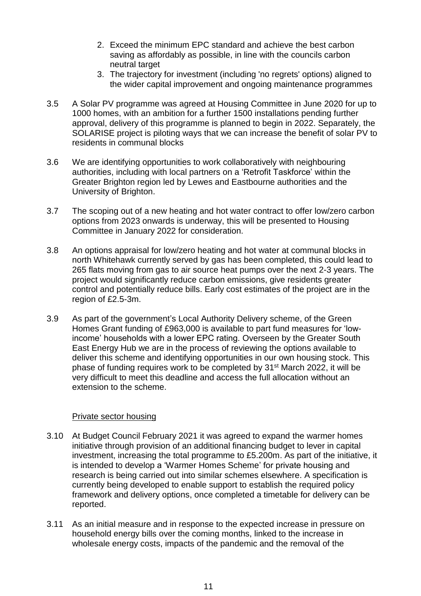- 2. Exceed the minimum EPC standard and achieve the best carbon saving as affordably as possible, in line with the councils carbon neutral target
- 3. The trajectory for investment (including 'no regrets' options) aligned to the wider capital improvement and ongoing maintenance programmes
- 3.5 A Solar PV programme was agreed at Housing Committee in June 2020 for up to 1000 homes, with an ambition for a further 1500 installations pending further approval, delivery of this programme is planned to begin in 2022. Separately, the SOLARISE project is piloting ways that we can increase the benefit of solar PV to residents in communal blocks
- 3.6 We are identifying opportunities to work collaboratively with neighbouring authorities, including with local partners on a 'Retrofit Taskforce' within the Greater Brighton region led by Lewes and Eastbourne authorities and the University of Brighton.
- 3.7 The scoping out of a new heating and hot water contract to offer low/zero carbon options from 2023 onwards is underway, this will be presented to Housing Committee in January 2022 for consideration.
- 3.8 An options appraisal for low/zero heating and hot water at communal blocks in north Whitehawk currently served by gas has been completed, this could lead to 265 flats moving from gas to air source heat pumps over the next 2-3 years. The project would significantly reduce carbon emissions, give residents greater control and potentially reduce bills. Early cost estimates of the project are in the region of £2.5-3m.
- 3.9 As part of the government's Local Authority Delivery scheme, of the Green Homes Grant funding of £963,000 is available to part fund measures for 'lowincome' households with a lower EPC rating. Overseen by the Greater South East Energy Hub we are in the process of reviewing the options available to deliver this scheme and identifying opportunities in our own housing stock. This phase of funding requires work to be completed by 31<sup>st</sup> March 2022, it will be very difficult to meet this deadline and access the full allocation without an extension to the scheme.

## Private sector housing

- 3.10 At Budget Council February 2021 it was agreed to expand the warmer homes initiative through provision of an additional financing budget to lever in capital investment, increasing the total programme to £5.200m. As part of the initiative, it is intended to develop a 'Warmer Homes Scheme' for private housing and research is being carried out into similar schemes elsewhere. A specification is currently being developed to enable support to establish the required policy framework and delivery options, once completed a timetable for delivery can be reported.
- 3.11 As an initial measure and in response to the expected increase in pressure on household energy bills over the coming months, linked to the increase in wholesale energy costs, impacts of the pandemic and the removal of the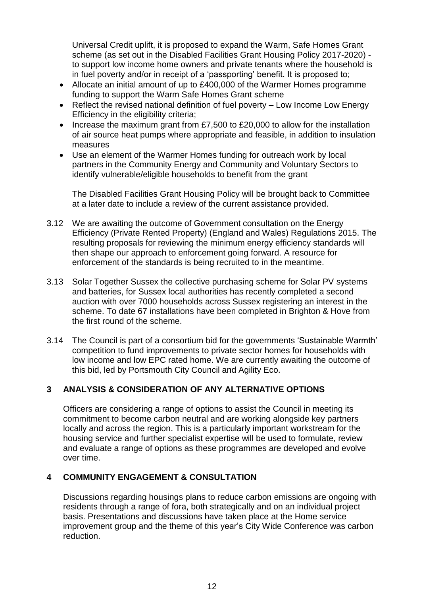Universal Credit uplift, it is proposed to expand the Warm, Safe Homes Grant scheme (as set out in the Disabled Facilities Grant Housing Policy 2017-2020) to support low income home owners and private tenants where the household is in fuel poverty and/or in receipt of a 'passporting' benefit. It is proposed to;

- Allocate an initial amount of up to £400,000 of the Warmer Homes programme funding to support the Warm Safe Homes Grant scheme
- Reflect the revised national definition of fuel poverty Low Income Low Energy Efficiency in the eligibility criteria;
- Increase the maximum grant from £7,500 to £20,000 to allow for the installation of air source heat pumps where appropriate and feasible, in addition to insulation measures
- Use an element of the Warmer Homes funding for outreach work by local partners in the Community Energy and Community and Voluntary Sectors to identify vulnerable/eligible households to benefit from the grant

The Disabled Facilities Grant Housing Policy will be brought back to Committee at a later date to include a review of the current assistance provided.

- 3.12 We are awaiting the outcome of Government consultation on the Energy Efficiency (Private Rented Property) (England and Wales) Regulations 2015. The resulting proposals for reviewing the minimum energy efficiency standards will then shape our approach to enforcement going forward. A resource for enforcement of the standards is being recruited to in the meantime.
- 3.13 Solar Together Sussex the collective purchasing scheme for Solar PV systems and batteries, for Sussex local authorities has recently completed a second auction with over 7000 households across Sussex registering an interest in the scheme. To date 67 installations have been completed in Brighton & Hove from the first round of the scheme.
- 3.14 The Council is part of a consortium bid for the governments 'Sustainable Warmth' competition to fund improvements to private sector homes for households with low income and low EPC rated home. We are currently awaiting the outcome of this bid, led by Portsmouth City Council and Agility Eco.

# **3 ANALYSIS & CONSIDERATION OF ANY ALTERNATIVE OPTIONS**

Officers are considering a range of options to assist the Council in meeting its commitment to become carbon neutral and are working alongside key partners locally and across the region. This is a particularly important workstream for the housing service and further specialist expertise will be used to formulate, review and evaluate a range of options as these programmes are developed and evolve over time.

# **4 COMMUNITY ENGAGEMENT & CONSULTATION**

Discussions regarding housings plans to reduce carbon emissions are ongoing with residents through a range of fora, both strategically and on an individual project basis. Presentations and discussions have taken place at the Home service improvement group and the theme of this year's City Wide Conference was carbon reduction.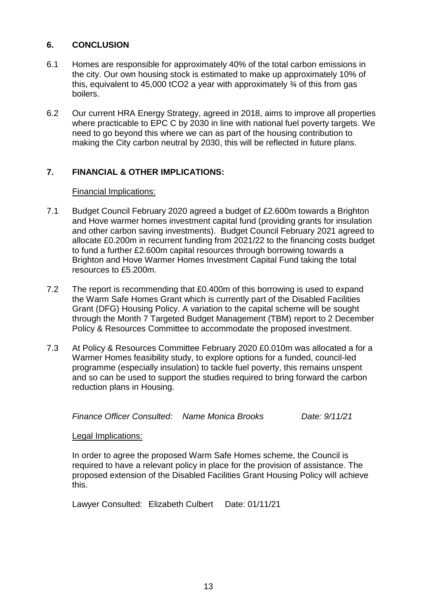# **6. CONCLUSION**

- 6.1 Homes are responsible for approximately 40% of the total carbon emissions in the city. Our own housing stock is estimated to make up approximately 10% of this, equivalent to 45,000 tCO2 a year with approximately  $\frac{3}{4}$  of this from gas boilers.
- 6.2 Our current HRA Energy Strategy, agreed in 2018, aims to improve all properties where practicable to EPC C by 2030 in line with national fuel poverty targets. We need to go beyond this where we can as part of the housing contribution to making the City carbon neutral by 2030, this will be reflected in future plans.

# **7. FINANCIAL & OTHER IMPLICATIONS:**

## Financial Implications:

- 7.1 Budget Council February 2020 agreed a budget of £2.600m towards a Brighton and Hove warmer homes investment capital fund (providing grants for insulation and other carbon saving investments). Budget Council February 2021 agreed to allocate £0.200m in recurrent funding from 2021/22 to the financing costs budget to fund a further £2.600m capital resources through borrowing towards a Brighton and Hove Warmer Homes Investment Capital Fund taking the total resources to £5.200m.
- 7.2 The report is recommending that £0.400m of this borrowing is used to expand the Warm Safe Homes Grant which is currently part of the Disabled Facilities Grant (DFG) Housing Policy. A variation to the capital scheme will be sought through the Month 7 Targeted Budget Management (TBM) report to 2 December Policy & Resources Committee to accommodate the proposed investment.
- 7.3 At Policy & Resources Committee February 2020 £0.010m was allocated a for a Warmer Homes feasibility study, to explore options for a funded, council-led programme (especially insulation) to tackle fuel poverty, this remains unspent and so can be used to support the studies required to bring forward the carbon reduction plans in Housing.

*Finance Officer Consulted: Name Monica Brooks Date: 9/11/21*

## Legal Implications:

In order to agree the proposed Warm Safe Homes scheme, the Council is required to have a relevant policy in place for the provision of assistance. The proposed extension of the Disabled Facilities Grant Housing Policy will achieve this.

Lawyer Consulted: Elizabeth Culbert Date: 01/11/21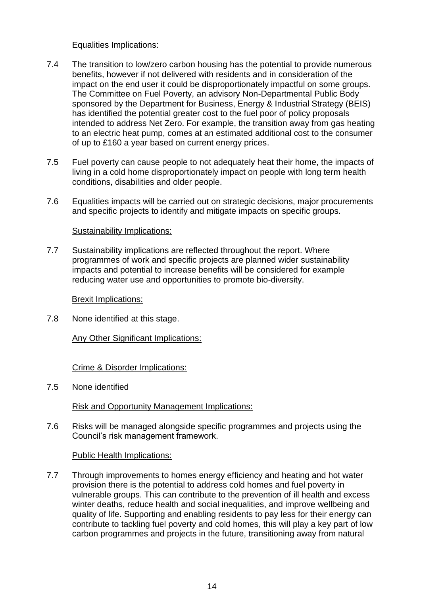## Equalities Implications:

- 7.4 The transition to low/zero carbon housing has the potential to provide numerous benefits, however if not delivered with residents and in consideration of the impact on the end user it could be disproportionately impactful on some groups. The Committee on Fuel Poverty, an advisory Non-Departmental Public Body sponsored by the Department for Business, Energy & Industrial Strategy (BEIS) has identified the potential greater cost to the fuel poor of policy proposals intended to address Net Zero. For example, the transition away from gas heating to an electric heat pump, comes at an estimated additional cost to the consumer of up to £160 a year based on current energy prices.
- 7.5 Fuel poverty can cause people to not adequately heat their home, the impacts of living in a cold home disproportionately impact on people with long term health conditions, disabilities and older people.
- 7.6 Equalities impacts will be carried out on strategic decisions, major procurements and specific projects to identify and mitigate impacts on specific groups.

## Sustainability Implications:

7.7 Sustainability implications are reflected throughout the report. Where programmes of work and specific projects are planned wider sustainability impacts and potential to increase benefits will be considered for example reducing water use and opportunities to promote bio-diversity.

#### Brexit Implications:

7.8 None identified at this stage.

## Any Other Significant Implications:

## Crime & Disorder Implications:

7.5 None identified

Risk and Opportunity Management Implications:

7.6 Risks will be managed alongside specific programmes and projects using the Council's risk management framework.

## Public Health Implications:

7.7 Through improvements to homes energy efficiency and heating and hot water provision there is the potential to address cold homes and fuel poverty in vulnerable groups. This can contribute to the prevention of ill health and excess winter deaths, reduce health and social inequalities, and improve wellbeing and quality of life. Supporting and enabling residents to pay less for their energy can contribute to tackling fuel poverty and cold homes, this will play a key part of low carbon programmes and projects in the future, transitioning away from natural